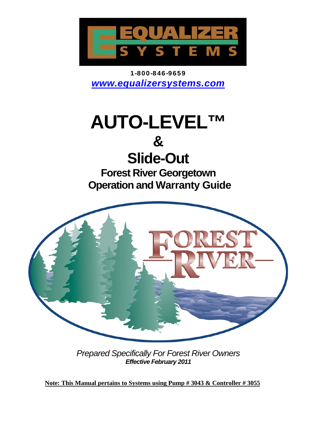

1-800-846-9659 *www.equalizersystems.com* 

# **AUTO-LEVEL™**

## **&**

## **Slide-Out**

**Forest River Georgetown Operation and Warranty Guide** 



*Prepared Specifically For Forest River Owners Effective February 2011* 

 **Note: This Manual pertains to Systems using Pump # 3043 & Controller # 3055**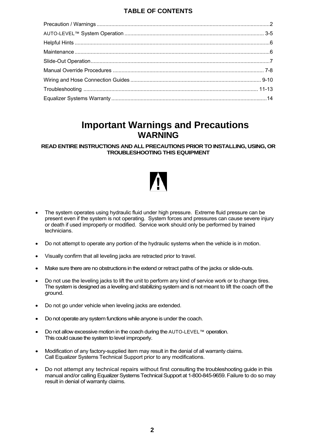#### **TABLE OF CONTENTS**

## **Important Warnings and Precautions WARNING**

**READ ENTIRE INSTRUCTIONS AND ALL PRECAUTIONS PRIOR TO INSTALLING, USING, OR TROUBLESHOOTING THIS EQUIPMENT** 

- The system operates using hydraulic fluid under high pressure. Extreme fluid pressure can be present even if the system is not operating. System forces and pressures can cause severe injury or death if used improperly or modified. Service work should only be performed by trained technicians.
- Do not attempt to operate any portion of the hydraulic systems when the vehicle is in motion.
- Visually confirm that all leveling jacks are retracted prior to travel.
- Make sure there are no obstructions in the extend or retract paths of the jacks or slide-outs.
- Do not use the leveling jacks to lift the unit to perform any kind of service work or to change tires. The system is designed as a leveling and stabilizing system and is not meant to lift the coach off the ground.
- Do not go under vehicle when leveling jacks are extended.
- Do not operate any system functions while anyone is under the coach.
- Do not allow excessive motion in the coach during the AUTO-LEVEL™ operation. This could cause the system to level improperly.
- Modification of any factory-supplied item may result in the denial of all warranty claims. Call Equalizer Systems Technical Support prior to any modifications.
- Do not attempt any technical repairs without first consulting the troubleshooting guide in this manual and/or calling Equalizer Systems Technical Support at 1-800-845-9659. Failure to do so may result in denial of warranty claims.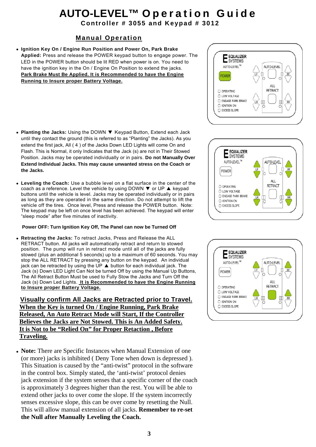# **AUTO-LEVEL™ O p e r a t i o n G u i d e Controller # 3055 and Keypad # 3012**

#### **Manual Operation**

- **Ignition Key On / Engine Run Position and Power On, Park Brake Applied:** Press and release the POWER keypad button to engage power. The LED in the POWER button should be lit RED when power is on. You need to have the ignition key in the On / Engine On Position to extend the jacks. **Park Brake Must Be Applied. It is Recommended to have the Engine Running to Insure proper Battery Voltage.**
- **Planting the Jacks:** Using the DOWN ▼ Keypad Button, Extend each Jack until they contact the ground (this is referred to as "Planting" the Jacks). As you extend the first jack, All ( 4 ) of the Jacks Down LED Lights will come On and Flash. This is Normal, it only Indicates that the Jack (s) are not in Their Stowed Position. Jacks may be operated individually or in pairs. **Do not Manually Over Extend Individual Jacks. This may cause unwanted stress on the Coach or the Jacks.**
- **Leveling the Coach:** Use a bubble level on a flat surface in the center of the coach as a reference. Level the vehicle by using DOWN  $\blacktriangledown$  or UP ▲ keypad buttons until the vehicle is level. Jacks may be operated individually or in pairs as long as they are operated in the same direction. Do not attempt to lift the vehicle off the tires. Once level, Press and release the POWER button. Note: The keypad may be left on once level has been achieved. The keypad will enter "sleep mode" after five minutes of inactivity.

#### **Power OFF: Turn Ignition Key Off, The Panel can now be Turned Off**

• **Retracting the Jacks:** To retract Jacks, Press and Release the ALL RETRACT button. All jacks will automatically retract and return to stowed position. The pump will run in retract mode until all of the jacks are fully stowed (plus an additional 5 seconds) up to a maximum of 60 seconds. You may stop the ALL RETRACT by pressing any button on the keypad. An individual jack can be retracted by using the UP ▲ button for each individual jack. The Jack (s) Down LED Light Can Not be turned Off by using the Manual Up Buttons, The All Retract Button Must be used to Fully Stow the Jacks and Turn Off the Jack (s) Down Led Lights. **It is Recommended to have the Engine Running to Insure proper Battery Voltage.** 

 **Visually confirm All Jacks are Retracted prior to Travel. When the Key is turned On / Engine Running, Park Brake Released, An Auto Retract Mode will Start, If the Controller Believes the Jacks are Not Stowed. This is An Added Safety. It is Not to be "Relied On" for Proper Retaction , Before Traveling.** 

• **Note:** There are Specific Instances when Manual Extension of one (or more) jacks is inhibited ( Deny Tone when down is depressed ). This Situation is caused by the "anti-twist" protocol in the software in the control box. Simply stated, the 'anti-twist' protocol denies jack extension if the system senses that a specific corner of the coach is approximately 3 degrees higher than the rest. You will be able to extend other jacks to over come the slope. If the system incorrectly senses excessive slope, this can be over come by resetting the Null. This will allow manual extension of all jacks. **Remember to re-set the Null after Manually Leveling the Coach.** 





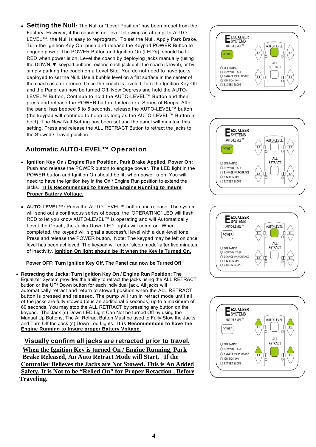• **Setting the Null:** The Null or "Level Position" has been preset from the Factory. However, if the coach is not level following an attempt to AUTO-LEVEL™, the Null is easy to reprogram. To set the Null, Apply Park Brake, Turn the Ignition Key On, push and release the Keypad POWER Button to engage power. The POWER Button and Ignition On (LED's), should be lit RED when power is on. Level the coach by deploying jacks manually (using the DOWN ▼ keypad buttons, extend each jack until the coach is level), or by simply parking the coach on a Level Site. You do not need to have jacks deployed to set the Null. Use a bubble level on a flat surface in the center of the coach as a reference. Once the coach is leveled, turn the Ignition Key Off and the Panel can now be turned Off. Now Depress and hold the AUTO-LEVEL™ Button, Continue to hold the AUTO-LEVEL™ Button and then press and release the POWER button, Listen for a Series of Beeps. After the panel has beeped 5 to 6 seconds, release the AUTO-LEVEL™ button (the keypad will continue to beep as long as the AUTO-LEVEL™ Button is held). The New Null Setting has been set and the panel will maintain this setting. Press and release the ALL RETRACT Button to retract the jacks to the Stowed / Travel position.

#### **Automatic AUTO-LEVEL™ Operation**

- **Ignition Key On / Engine Run Position, Park Brake Applied, Power On:**  Push and release the POWER button to engage power. The LED light in the POWER button and Ignition On should be lit, when power is on. You will need to have the ignition key in the On / Engine Run position to extend the jacks. **It is Recommended to have the Engine Running to Insure Proper Battery Voltage.**
- **AUTO-LEVEL™:** Press the AUTO-LEVEL™ button and release. The system will send out a continuous series of beeps, the 'OPERATING' LED will flash RED to let you know AUTO-LEVEL™ is operating and will Automatically Level the Coach, the Jacks Down LED Lights will come on. When completed, the keypad will signal a successful level with a dual-level tone. Press and release the POWER button. Note: The keypad may be left on once level has been achieved. The keypad will enter "sleep mode" after five minutes of inactivity. **Ignition On light should be lit when the Key is Turned On.**

#### **Power OFF: Turn Ignition Key Off, The Panel can now be Turned Off**

• **Retracting the Jacks: Turn Ignition Key On / Engine Run Position:** The Equalizer System provides the ability to retract the jacks using the ALL RETRACT button or the UP/ Down button for each individual jack. All jacks will automatically retract and return to stowed position when the ALL RETRACT button is pressed and released. The pump will run in retract mode until all of the jacks are fully stowed (plus an additional 5 seconds) up to a maximum of 60 seconds. You may stop the ALL RETRACT by pressing any button on the keypad. The Jack (s) Down LED Light Can Not be turned Off by using the Manual Up Buttons, The All Retract Button Must be used to Fully Stow the Jacks and Turn Off the Jack (s) Down Led Lights. **It is Recommended to have the Engine Running to Insure proper Battery Voltage.** 

 **Visually confirm all jacks are retracted prior to travel. When the Ignition Key is turned On / Engine Running, Park Brake Released, An Auto Retract Mode will Start, If the Controller Believes the Jacks are Not Stowed. This is An Added Safety. It is Not to be "Relied On" for Proper Retaction , Before Traveling.** 







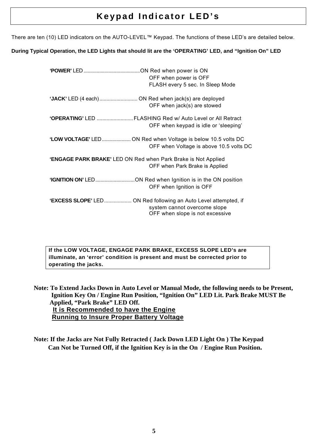## **Keypad Indicator LED's**

There are ten (10) LED indicators on the AUTO-LEVEL™ Keypad. The functions of these LED's are detailed below.

#### **During Typical Operation, the LED Lights that should lit are the 'OPERATING' LED, and "Ignition On" LED**

|                                                                    | OFF when power is OFF<br>FLASH every 5 sec. In Sleep Mode       |
|--------------------------------------------------------------------|-----------------------------------------------------------------|
|                                                                    | OFF when jack(s) are stowed                                     |
| 'OPERATING' LED FLASHING Red w/ Auto Level or All Retract          | OFF when keypad is idle or 'sleeping'                           |
| 'LOW VOLTAGE' LED ON Red when Voltage is below 10.5 volts DC       | OFF when Voltage is above 10.5 volts DC                         |
| 'ENGAGE PARK BRAKE' LED ON Red when Park Brake is Not Applied      | OFF when Park Brake is Applied                                  |
| <b>'IGNITION ON'</b> LEDON Red when Ignition is in the ON position | OFF when Ignition is OFF                                        |
| 'EXCESS SLOPE' LED ON Red following an Auto Level attempted, if    | system cannot overcome slope<br>OFF when slope is not excessive |

**If the LOW VOLTAGE, ENGAGE PARK BRAKE, EXCESS SLOPE LED's are illuminate, an 'error' condition is present and must be corrected prior to operating the jacks.** 

 **Note: To Extend Jacks Down in Auto Level or Manual Mode, the following needs to be Present, Ignition Key On / Engine Run Position, "Ignition On" LED Lit. Park Brake MUST Be Applied, "Park Brake" LED Off. It is Recommended to have the Engine Running to Insure Proper Battery Voltage**

 **Note: If the Jacks are Not Fully Retracted ( Jack Down LED Light On ) The Keypad Can Not be Turned Off, if the Ignition Key is in the On / Engine Run Position.**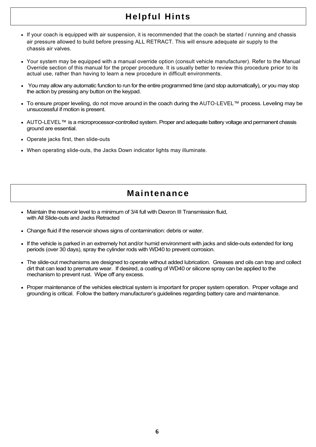## **Helpful Hints**

- If your coach is equipped with air suspension, it is recommended that the coach be started / running and chassis air pressure allowed to build before pressing ALL RETRACT. This will ensure adequate air supply to the chassis air valves.
- Your system may be equipped with a manual override option (consult vehicle manufacturer). Refer to the Manual Override section of this manual for the proper procedure. It is usually better to review this procedure prior to its actual use, rather than having to learn a new procedure in difficult environments.
- You may allow any automatic function to run for the entire programmed time (and stop automatically), or you may stop the action by pressing any button on the keypad.
- To ensure proper leveling, do not move around in the coach during the AUTO-LEVEL™ process. Leveling may be unsuccessful if motion is present.
- AUTO-LEVEL™ is a microprocessor-controlled system. Proper and adequate battery voltage and permanent chassis ground are essential.
- Operate jacks first, then slide-outs
- When operating slide-outs, the Jacks Down indicator lights may illuminate.

## **Maintenance**

- Maintain the reservoir level to a minimum of 3/4 full with Dexron III Transmission fluid, with All Slide-outs and Jacks Retracted
- Change fluid if the reservoir shows signs of contamination: debris or water.
- If the vehicle is parked in an extremely hot and/or humid environment with jacks and slide-outs extended for long periods (over 30 days), spray the cylinder rods with WD40 to prevent corrosion.
- The slide-out mechanisms are designed to operate without added lubrication. Greases and oils can trap and collect dirt that can lead to premature wear. If desired, a coating of WD40 or silicone spray can be applied to the mechanism to prevent rust. Wipe off any excess.
- Proper maintenance of the vehicles electrical system is important for proper system operation. Proper voltage and grounding is critical. Follow the battery manufacturer's guidelines regarding battery care and maintenance.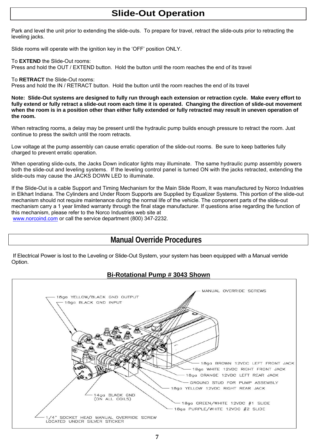## **Slide-Out Operation**

Park and level the unit prior to extending the slide-outs. To prepare for travel, retract the slide-outs prior to retracting the leveling jacks.

Slide rooms will operate with the ignition key in the 'OFF' position ONLY.

To **EXTEND** the Slide-Out rooms:

Press and hold the OUT / EXTEND button. Hold the button until the room reaches the end of its travel

To **RETRACT** the Slide-Out rooms:

Press and hold the IN / RETRACT button. Hold the button until the room reaches the end of its travel

**Note: Slide-Out systems are designed to fully run through each extension or retraction cycle. Make every effort to fully extend or fully retract a slide-out room each time it is operated. Changing the direction of slide-out movement when the room is in a position other than either fully extended or fully retracted may result in uneven operation of the room.** 

When retracting rooms, a delay may be present until the hydraulic pump builds enough pressure to retract the room. Just continue to press the switch until the room retracts.

Low voltage at the pump assembly can cause erratic operation of the slide-out rooms. Be sure to keep batteries fully charged to prevent erratic operation.

When operating slide-outs, the Jacks Down indicator lights may illuminate. The same hydraulic pump assembly powers both the slide-out and leveling systems. If the leveling control panel is turned ON with the jacks retracted, extending the slide-outs may cause the JACKS DOWN LED to illuminate.

If the Slide-Out is a cable Support and Timing Mechanism for the Main Slide Room, It was manufactured by Norco Industries in Elkhart Indiana. The Cylinders and Under Room Supports are Supplied by Equalizer Systems. This portion of the slide-out mechanism should not require maintenance during the normal life of the vehicle. The component parts of the slide-out mechanism carry a 1 year limited warranty through the final stage manufacturer. If questions arise regarding the function of this mechanism, please refer to the Norco Industries web site at www.norcoind.com or call the service department (800) 347-2232.

### **Manual Override Procedures**

 If Electrical Power is lost to the Leveling or Slide-Out System, your system has been equipped with a Manual verride Option.

#### **Bi-Rotational Pump # 3043 Shown**

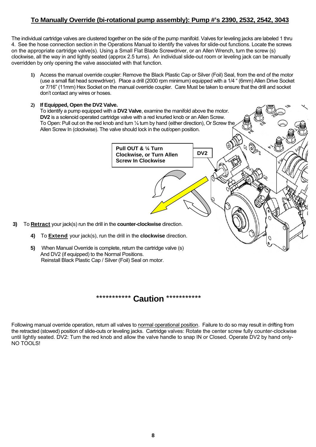#### **To Manually Override (bi-rotational pump assembly): Pump #'s 2390, 2532, 2542, 3043**

The individual cartridge valves are clustered together on the side of the pump manifold. Valves for leveling jacks are labeled 1 thru 4. See the hose connection section in the Operations Manual to identify the valves for slide-out functions. Locate the screws on the appropriate cartridge valve(s). Using a Small Flat Blade Screwdriver, or an Allen Wrench, turn the screw (s) clockwise, all the way in and lightly seated (approx 2.5 turns). An individual slide-out room or leveling jack can be manually overridden by only opening the valve associated with that function.

- **1)** Access the manual override coupler: Remove the Black Plastic Cap or Silver (Foil) Seal, from the end of the motor (use a small flat head screwdriver). Place a drill (2000 rpm minimum) equipped with a 1/4 " (6mm) Allen Drive Socket or 7/16" (11mm) Hex Socket on the manual override coupler. Care Must be taken to ensure that the drill and socket don't contact any wires or hoses.
- **2) If Equipped, Open the DV2 Valve.**  To identify a pump equipped with a **DV2 Valve**, examine the manifold above the motor. **DV2** is a solenoid operated cartridge valve with a red knurled knob or an Allen Screw. To Open: Pull out on the red knob and turn ¼ turn by hand (either direction), Or Screw the Allen Screw In (clockwise). The valve should lock in the out/open position.  $\widehat{\mathbb{Q}}_{\mathbb{P}_q}$ **Pull OUT & ¼ Turn DV2 Clockwise, or Turn Allen Screw In Clockwise 3)** To **Retract** your jack(s) run the drill in the **counter-clockwise** direction. **4)** To **Extend** your jack(s), run the drill in the **clockwise** direction. **5)** When Manual Override is complete, return the cartridge valve (s) And DV2 (if equipped) to the Normal Positions. Reinstall Black Plastic Cap / Silver (Foil) Seal on motor.

### \*\*\*\*\*\*\*\*\*\*\* **Caution** \*\*\*\*\*\*\*\*\*\*\*

 Following manual override operation, return all valves to normal operational position. Failure to do so may result in drifting from the retracted (stowed) position of slide-outs or leveling jacks. Cartridge valves: Rotate the center screw fully counter-clockwise until lightly seated. DV2: Turn the red knob and allow the valve handle to snap IN or Closed. Operate DV2 by hand only-NO TOOLS!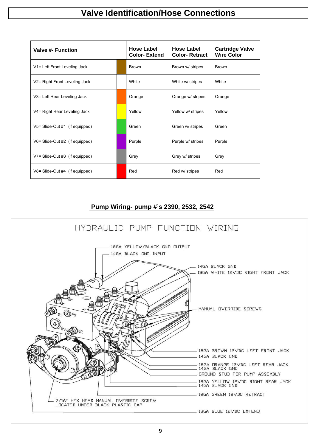## **Valve Identification/Hose Connections**

| <b>Valve #- Function</b>           | <b>Hose Label</b><br><b>Color-Extend</b> | <b>Hose Label</b><br><b>Color-Retract</b> | <b>Cartridge Valve</b><br><b>Wire Color</b> |
|------------------------------------|------------------------------------------|-------------------------------------------|---------------------------------------------|
| V1= Left Front Leveling Jack       | <b>Brown</b>                             | Brown w/ stripes                          | <b>Brown</b>                                |
| V2= Right Front Leveling Jack      | White                                    | White w/ stripes                          | White                                       |
| V3= Left Rear Leveling Jack        | Orange                                   | Orange w/ stripes                         | Orange                                      |
| V4= Right Rear Leveling Jack       | Yellow                                   | Yellow w/ stripes                         | Yellow                                      |
| $V5 = S$ lide-Out #1 (if equipped) | Green                                    | Green w/ stripes                          | Green                                       |
| $V6 =$ Slide-Out #2 (if equipped)  | Purple                                   | Purple w/ stripes                         | Purple                                      |
| $V7 =$ Slide-Out #3 (if equipped)  | Grey                                     | Grey w/ stripes                           | Grey                                        |
| $V8 =$ Slide-Out #4 (if equipped)  | Red                                      | Red w/ stripes                            | Red                                         |

#### **Pump Wiring- pump #'s 2390, 2532, 2542**

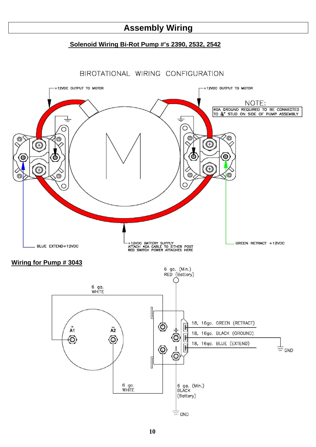## **Assembly Wiring**

#### **Solenoid Wiring Bi-Rot Pump #'s 2390, 2532, 2542**

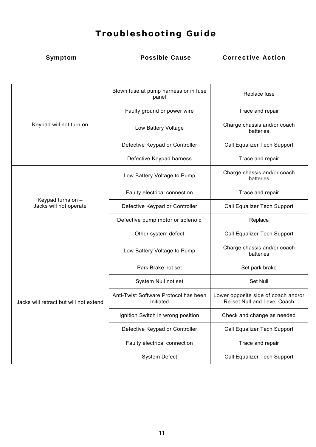## **T roubleshooting Guide**

Symptom Possible Cause Corrective Action

| Keypad will not turn on                     | Blown fuse at pump harness or in fuse<br>panel     | Replace fuse                                                       |
|---------------------------------------------|----------------------------------------------------|--------------------------------------------------------------------|
|                                             | Faulty ground or power wire                        | Trace and repair                                                   |
|                                             | Low Battery Voltage                                | Charge chassis and/or coach<br>batteries                           |
|                                             | Defective Keypad or Controller                     | <b>Call Equalizer Tech Support</b>                                 |
|                                             | Defective Keypad harness                           | Trace and repair                                                   |
| Keypad turns on -<br>Jacks will not operate | Low Battery Voltage to Pump                        | Charge chassis and/or coach<br>batteries                           |
|                                             | Faulty electrical connection                       | Trace and repair                                                   |
|                                             | Defective Keypad or Controller                     | Call Equalizer Tech Support                                        |
|                                             | Defective pump motor or solenoid                   | Replace                                                            |
|                                             | Other system defect                                | Call Equalizer Tech Support                                        |
| Jacks will retract but will not extend      | Low Battery Voltage to Pump                        | Charge chassis and/or coach<br>batteries                           |
|                                             | Park Brake not set                                 | Set park brake                                                     |
|                                             | System Null not set                                | <b>Set Null</b>                                                    |
|                                             | Anti-Twist Software Protocol has been<br>Initiated | Lower opposite side of coach and/or<br>Re-set Null and Level Coach |
|                                             | Ignition Switch in wrong position                  | Check and change as needed                                         |
|                                             | Defective Keypad or Controller                     | Call Equalizer Tech Support                                        |
|                                             | Faulty electrical connection                       | Trace and repair                                                   |
|                                             | <b>System Defect</b>                               | Call Equalizer Tech Support                                        |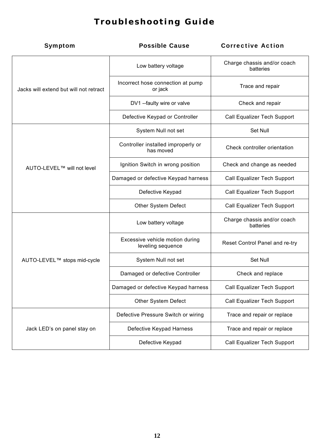## **T roubleshooting Guide**

| Symptom                                | <b>Possible Cause</b>                                | <b>Corrective Action</b>                 |
|----------------------------------------|------------------------------------------------------|------------------------------------------|
| Jacks will extend but will not retract | Low battery voltage                                  | Charge chassis and/or coach<br>batteries |
|                                        | Incorrect hose connection at pump<br>or jack         | Trace and repair                         |
|                                        | DV1 -- faulty wire or valve                          | Check and repair                         |
|                                        | Defective Keypad or Controller                       | Call Equalizer Tech Support              |
| AUTO-LEVEL™ will not level             | System Null not set                                  | Set Null                                 |
|                                        | Controller installed improperly or<br>has moved      | Check controller orientation             |
|                                        | Ignition Switch in wrong position                    | Check and change as needed               |
|                                        | Damaged or defective Keypad harness                  | Call Equalizer Tech Support              |
|                                        | Defective Keypad                                     | Call Equalizer Tech Support              |
|                                        | Other System Defect                                  | Call Equalizer Tech Support              |
| AUTO-LEVEL™ stops mid-cycle            | Low battery voltage                                  | Charge chassis and/or coach<br>batteries |
|                                        | Excessive vehicle motion during<br>leveling sequence | Reset Control Panel and re-try           |
|                                        | System Null not set                                  | Set Null                                 |
|                                        | Damaged or defective Controller                      | Check and replace                        |
|                                        | Damaged or defective Keypad harness                  | Call Equalizer Tech Support              |
|                                        | Other System Defect                                  | Call Equalizer Tech Support              |
| Jack LED's on panel stay on            | Defective Pressure Switch or wiring                  | Trace and repair or replace              |
|                                        | Defective Keypad Harness                             | Trace and repair or replace              |
|                                        | Defective Keypad                                     | Call Equalizer Tech Support              |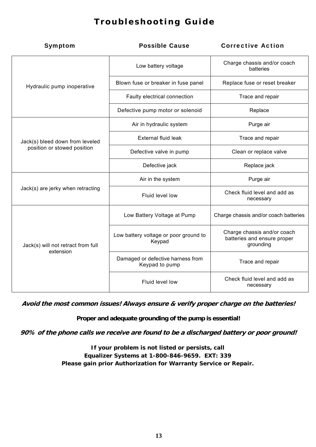## **T roubleshooting Guide**

| Symptom                                                        | <b>Possible Cause</b>                               | <b>Corrective Action</b>                                                |
|----------------------------------------------------------------|-----------------------------------------------------|-------------------------------------------------------------------------|
| Hydraulic pump inoperative                                     | Low battery voltage                                 | Charge chassis and/or coach<br>batteries                                |
|                                                                | Blown fuse or breaker in fuse panel                 | Replace fuse or reset breaker                                           |
|                                                                | Faulty electrical connection                        | Trace and repair                                                        |
|                                                                | Defective pump motor or solenoid                    | Replace                                                                 |
| Jack(s) bleed down from leveled<br>position or stowed position | Air in hydraulic system                             | Purge air                                                               |
|                                                                | <b>External fluid leak</b>                          | Trace and repair                                                        |
|                                                                | Defective valve in pump                             | Clean or replace valve                                                  |
|                                                                | Defective jack                                      | Replace jack                                                            |
| Jack(s) are jerky when retracting                              | Air in the system                                   | Purge air                                                               |
|                                                                | Fluid level low                                     | Check fluid level and add as<br>necessary                               |
| Jack(s) will not retract from full<br>extension                | Low Battery Voltage at Pump                         | Charge chassis and/or coach batteries                                   |
|                                                                | Low battery voltage or poor ground to<br>Keypad     | Charge chassis and/or coach<br>batteries and ensure proper<br>grounding |
|                                                                | Damaged or defective harness from<br>Keypad to pump | Trace and repair                                                        |
|                                                                | Fluid level low                                     | Check fluid level and add as<br>necessary                               |

**Avoid the most common issues! Always ensure & verify proper charge on the batteries!** 

**Proper and adequate grounding of the pump is essential!** 

**90% of the phone calls we receive are found to be a discharged battery or poor ground!** 

**If your problem is not listed or persists, call Equalizer Systems at 1-800-846-9659. EXT: 339 Please gain prior Authorization for Warranty Service or Repair.**